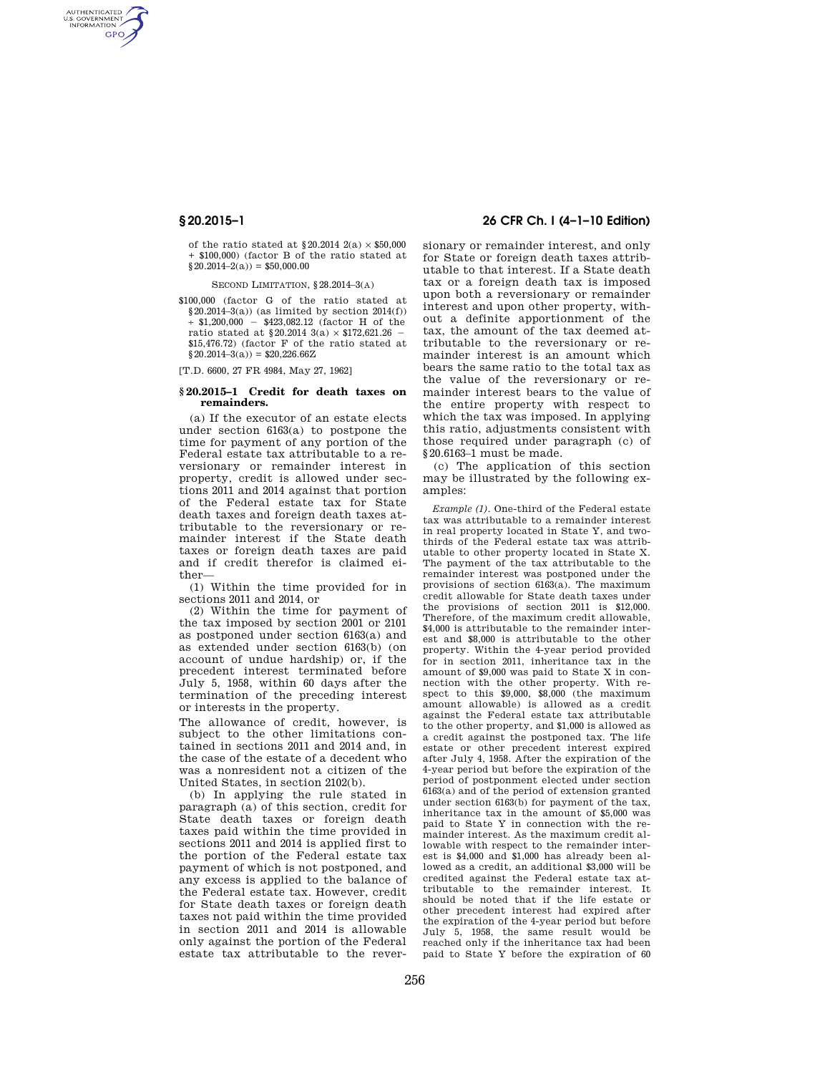AUTHENTICATED<br>U.S. GOVERNMENT<br>INFORMATION **GPO** 

> of the ratio stated at  $$20.2014$   $2(a) \times $50.000$ + \$100,000) (factor B of the ratio stated at  $$20.2014–2(a)) = $50,000.00$

SECOND LIMITATION,  $828.2014-3(4)$ 

\$100,000 (factor G of the ratio stated at  $$20.2014-3(a)$  (as limited by section 2014(f))<br>+ \$1.200.000 - \$423.082.12 (factor H of the  $-$  \$423,082.12 (factor H of the ratio stated at §20.2014 3(a)  $\times$  \$172,621.26 -\$15,476.72) (factor F of the ratio stated at  $$20.2014–3(a)) = $20,226.66Z$ 

[T.D. 6600, 27 FR 4984, May 27, 1962]

#### **§ 20.2015–1 Credit for death taxes on remainders.**

(a) If the executor of an estate elects under section 6163(a) to postpone the time for payment of any portion of the Federal estate tax attributable to a reversionary or remainder interest in property, credit is allowed under sections 2011 and 2014 against that portion of the Federal estate tax for State death taxes and foreign death taxes attributable to the reversionary or remainder interest if the State death taxes or foreign death taxes are paid and if credit therefor is claimed either—

(1) Within the time provided for in sections 2011 and 2014, or

(2) Within the time for payment of the tax imposed by section 2001 or 2101 as postponed under section 6163(a) and as extended under section 6163(b) (on account of undue hardship) or, if the precedent interest terminated before July 5, 1958, within 60 days after the termination of the preceding interest or interests in the property.

The allowance of credit, however, is subject to the other limitations contained in sections 2011 and 2014 and, in the case of the estate of a decedent who was a nonresident not a citizen of the United States, in section 2102(b).

(b) In applying the rule stated in paragraph (a) of this section, credit for State death taxes or foreign death taxes paid within the time provided in sections 2011 and 2014 is applied first to the portion of the Federal estate tax payment of which is not postponed, and any excess is applied to the balance of the Federal estate tax. However, credit for State death taxes or foreign death taxes not paid within the time provided in section 2011 and 2014 is allowable only against the portion of the Federal estate tax attributable to the rever-

# **§ 20.2015–1 26 CFR Ch. I (4–1–10 Edition)**

sionary or remainder interest, and only for State or foreign death taxes attributable to that interest. If a State death tax or a foreign death tax is imposed upon both a reversionary or remainder interest and upon other property, without a definite apportionment of the tax, the amount of the tax deemed attributable to the reversionary or remainder interest is an amount which bears the same ratio to the total tax as the value of the reversionary or remainder interest bears to the value of the entire property with respect to which the tax was imposed. In applying this ratio, adjustments consistent with those required under paragraph (c) of §20.6163–1 must be made.

(c) The application of this section may be illustrated by the following examples:

*Example (1).* One-third of the Federal estate tax was attributable to a remainder interest in real property located in State Y, and twothirds of the Federal estate tax was attributable to other property located in State X. The payment of the tax attributable to the remainder interest was postponed under the provisions of section 6163(a). The maximum credit allowable for State death taxes under the provisions of section 2011 is \$12,000. Therefore, of the maximum credit allowable, \$4,000 is attributable to the remainder interest and \$8,000 is attributable to the other property. Within the 4-year period provided for in section 2011, inheritance tax in the amount of \$9,000 was paid to State X in connection with the other property. With respect to this \$9,000, \$8,000 (the maximum amount allowable) is allowed as a credit against the Federal estate tax attributable to the other property, and \$1,000 is allowed as a credit against the postponed tax. The life estate or other precedent interest expired after July 4, 1958. After the expiration of the 4-year period but before the expiration of the period of postponment elected under section 6163(a) and of the period of extension granted under section 6163(b) for payment of the tax, inheritance tax in the amount of \$5,000 was paid to State Y in connection with the remainder interest. As the maximum credit allowable with respect to the remainder interest is \$4,000 and \$1,000 has already been allowed as a credit, an additional \$3,000 will be credited against the Federal estate tax attributable to the remainder interest. It should be noted that if the life estate or other precedent interest had expired after the expiration of the 4-year period but before July 5, 1958, the same result would be reached only if the inheritance tax had been paid to State Y before the expiration of 60